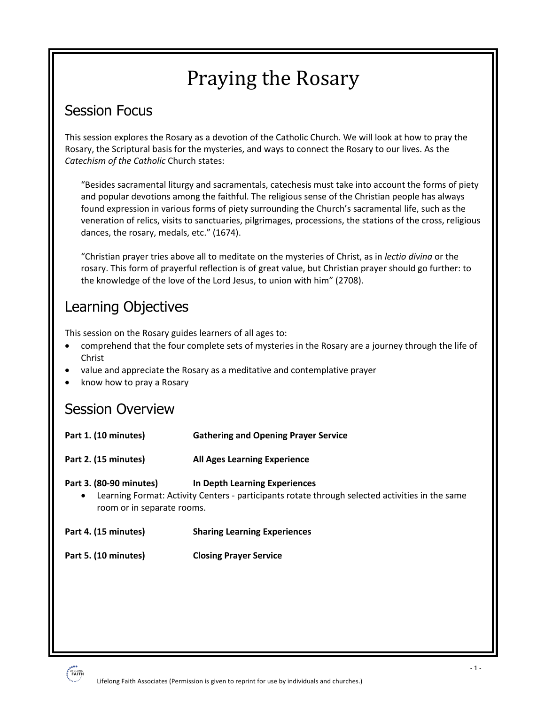# Praying the Rosary

### Session Focus

This session explores the Rosary as a devotion of the Catholic Church. We will look at how to pray the Rosary, the Scriptural basis for the mysteries, and ways to connect the Rosary to our lives. As the *Catechism of the Catholic* Church states:

"Besides sacramental liturgy and sacramentals, catechesis must take into account the forms of piety and popular devotions among the faithful. The religious sense of the Christian people has always found expression in various forms of piety surrounding the Church's sacramental life, such as the veneration of relics, visits to sanctuaries, pilgrimages, processions, the stations of the cross, religious dances, the rosary, medals, etc." (1674).

"Christian prayer tries above all to meditate on the mysteries of Christ, as in *lectio divina* or the rosary. This form of prayerful reflection is of great value, but Christian prayer should go further: to the knowledge of the love of the Lord Jesus, to union with him" (2708).

# Learning Objectives

This session on the Rosary guides learners of all ages to:

- comprehend that the four complete sets of mysteries in the Rosary are a journey through the life of Christ
- value and appreciate the Rosary as a meditative and contemplative prayer
- know how to pray a Rosary

### Session Overview

| Part 1. (10 minutes)                                                                                                                                                                                   | <b>Gathering and Opening Prayer Service</b> |
|--------------------------------------------------------------------------------------------------------------------------------------------------------------------------------------------------------|---------------------------------------------|
| Part 2. (15 minutes)                                                                                                                                                                                   | <b>All Ages Learning Experience</b>         |
| Part 3. (80-90 minutes)<br>In Depth Learning Experiences<br>Learning Format: Activity Centers - participants rotate through selected activities in the same<br>$\bullet$<br>room or in separate rooms. |                                             |
| Part 4. (15 minutes)                                                                                                                                                                                   | <b>Sharing Learning Experiences</b>         |
| Part 5. (10 minutes)                                                                                                                                                                                   | <b>Closing Prayer Service</b>               |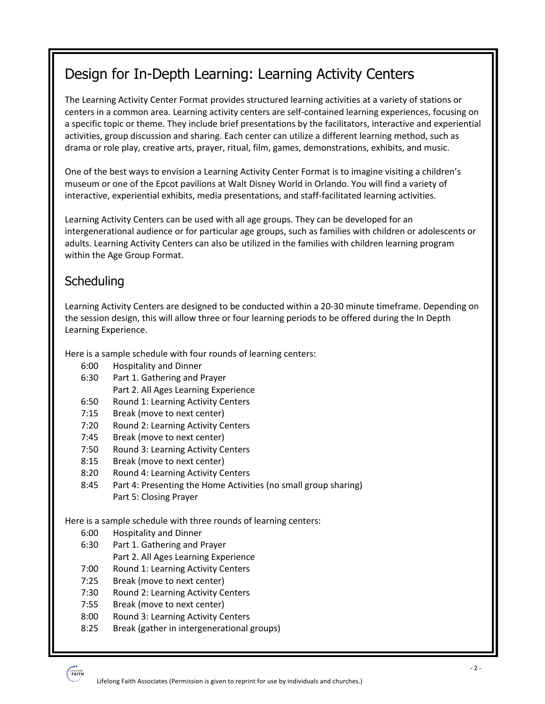# Design for In-Depth Learning: Learning Activity Centers

The Learning Activity Center Format provides structured learning activities at a variety of stations or centers in a common area. Learning activity centers are self-contained learning experiences, focusing on a specific topic or theme. They include brief presentations by the facilitators, interactive and experiential activities, group discussion and sharing. Each center can utilize a different learning method, such as drama or role play, creative arts, prayer, ritual, film, games, demonstrations, exhibits, and music.

One of the best ways to envision a Learning Activity Center Format is to imagine visiting a children's museum or one of the Epcot pavilions at Walt Disney World in Orlando. You will find a variety of interactive, experiential exhibits, media presentations, and staff-facilitated learning activities.

Learning Activity Centers can be used with all age groups. They can be developed for an intergenerational audience or for particular age groups, such as families with children or adolescents or adults. Learning Activity Centers can also be utilized in the families with children learning program within the Age Group Format.

### **Scheduling**

Learning Activity Centers are designed to be conducted within a 20-30 minute timeframe. Depending on the session design, this will allow three or four learning periods to be offered during the In Depth Learning Experience.

Here is a sample schedule with four rounds of learning centers:

- 6:00 Hospitality and Dinner
- 6:30 Part 1. Gathering and Prayer Part 2. All Ages Learning Experience
- 6:50 Round 1: Learning Activity Centers
- 7:15 Break (move to next center)
- 7:20 Round 2: Learning Activity Centers
- 7:45 Break (move to next center)
- 7:50 Round 3: Learning Activity Centers
- 8:15 Break (move to next center)
- 8:20 Round 4: Learning Activity Centers
- 8:45 Part 4: Presenting the Home Activities (no small group sharing) Part 5: Closing Prayer

Here is a sample schedule with three rounds of learning centers:

- 6:00 Hospitality and Dinner
- 6:30 Part 1. Gathering and Prayer Part 2. All Ages Learning Experience
- 7:00 Round 1: Learning Activity Centers
- 7:25 Break (move to next center)
- 7:30 Round 2: Learning Activity Centers
- 7:55 Break (move to next center)
- 8:00 Round 3: Learning Activity Centers
- 8:25 Break (gather in intergenerational groups)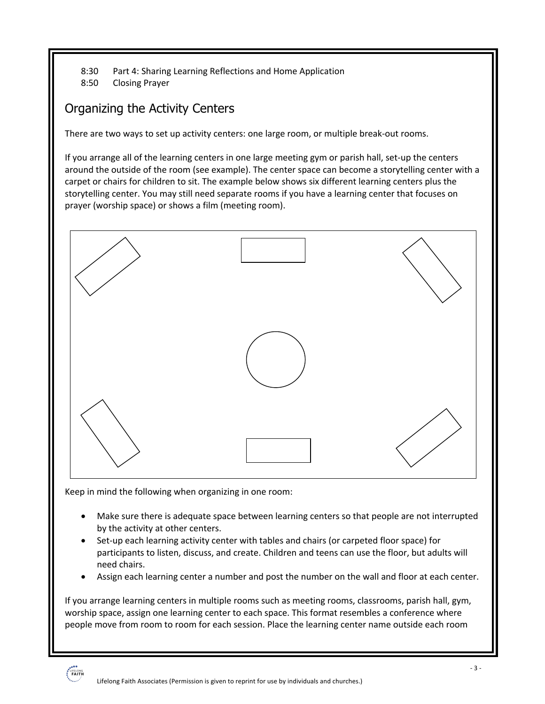- 8:30 Part 4: Sharing Learning Reflections and Home Application
- 8:50 Closing Prayer

### Organizing the Activity Centers

There are two ways to set up activity centers: one large room, or multiple break-out rooms.

If you arrange all of the learning centers in one large meeting gym or parish hall, set-up the centers around the outside of the room (see example). The center space can become a storytelling center with a carpet or chairs for children to sit. The example below shows six different learning centers plus the storytelling center. You may still need separate rooms if you have a learning center that focuses on prayer (worship space) or shows a film (meeting room).



Keep in mind the following when organizing in one room:

- Make sure there is adequate space between learning centers so that people are not interrupted by the activity at other centers.
- Set-up each learning activity center with tables and chairs (or carpeted floor space) for participants to listen, discuss, and create. Children and teens can use the floor, but adults will need chairs.
- Assign each learning center a number and post the number on the wall and floor at each center.

If you arrange learning centers in multiple rooms such as meeting rooms, classrooms, parish hall, gym, worship space, assign one learning center to each space. This format resembles a conference where people move from room to room for each session. Place the learning center name outside each room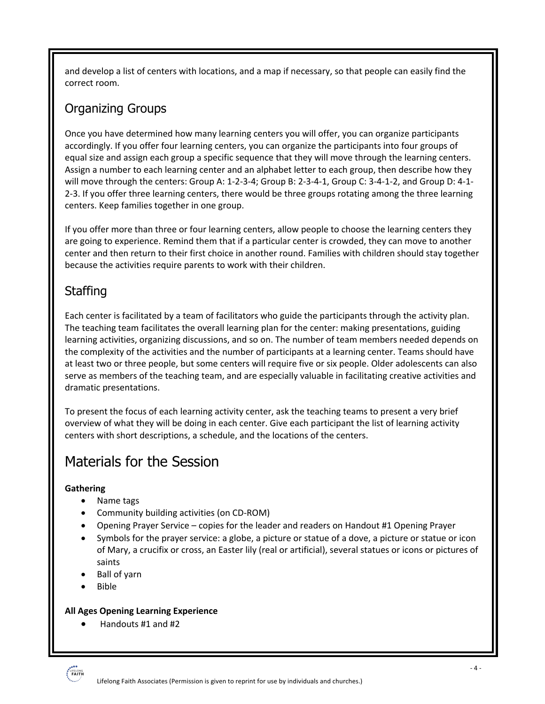and develop a list of centers with locations, and a map if necessary, so that people can easily find the correct room.

### Organizing Groups

Once you have determined how many learning centers you will offer, you can organize participants accordingly. If you offer four learning centers, you can organize the participants into four groups of equal size and assign each group a specific sequence that they will move through the learning centers. Assign a number to each learning center and an alphabet letter to each group, then describe how they will move through the centers: Group A: 1-2-3-4; Group B: 2-3-4-1, Group C: 3-4-1-2, and Group D: 4-1- 2-3. If you offer three learning centers, there would be three groups rotating among the three learning centers. Keep families together in one group.

If you offer more than three or four learning centers, allow people to choose the learning centers they are going to experience. Remind them that if a particular center is crowded, they can move to another center and then return to their first choice in another round. Families with children should stay together because the activities require parents to work with their children.

### **Staffing**

Each center is facilitated by a team of facilitators who guide the participants through the activity plan. The teaching team facilitates the overall learning plan for the center: making presentations, guiding learning activities, organizing discussions, and so on. The number of team members needed depends on the complexity of the activities and the number of participants at a learning center. Teams should have at least two or three people, but some centers will require five or six people. Older adolescents can also serve as members of the teaching team, and are especially valuable in facilitating creative activities and dramatic presentations.

To present the focus of each learning activity center, ask the teaching teams to present a very brief overview of what they will be doing in each center. Give each participant the list of learning activity centers with short descriptions, a schedule, and the locations of the centers.

# Materials for the Session

#### **Gathering**

- Name tags
- Community building activities (on CD-ROM)
- Opening Prayer Service copies for the leader and readers on Handout #1 Opening Prayer
- Symbols for the prayer service: a globe, a picture or statue of a dove, a picture or statue or icon of Mary, a crucifix or cross, an Easter lily (real or artificial), several statues or icons or pictures of saints
- Ball of yarn
- Bible

#### **All Ages Opening Learning Experience**

• Handouts #1 and #2

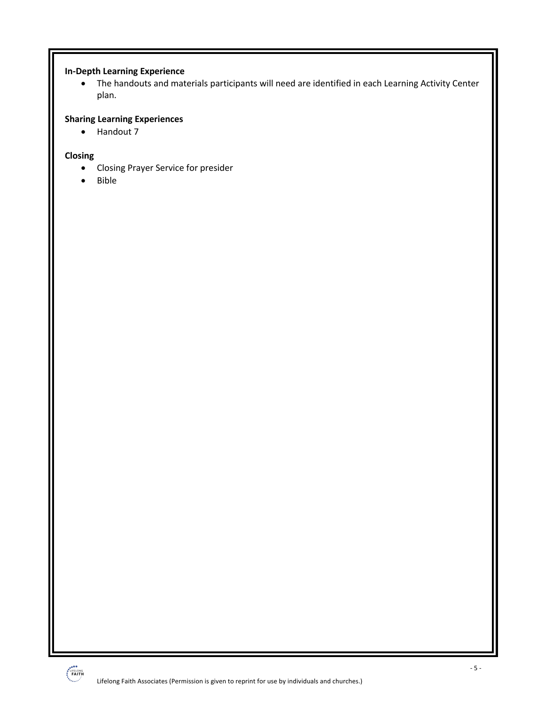#### **In-Depth Learning Experience**

• The handouts and materials participants will need are identified in each Learning Activity Center plan.

#### **Sharing Learning Experiences**

• Handout 7

#### **Closing**

- Closing Prayer Service for presider
- Bible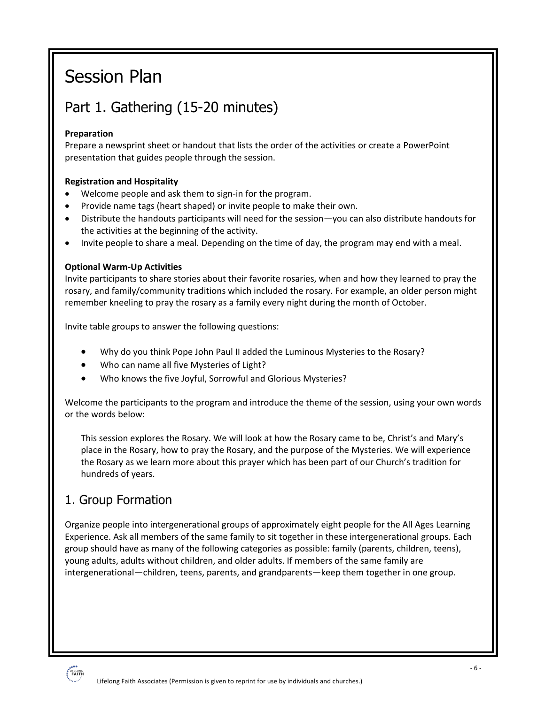# Session Plan

# Part 1. Gathering (15-20 minutes)

#### **Preparation**

Prepare a newsprint sheet or handout that lists the order of the activities or create a PowerPoint presentation that guides people through the session.

#### **Registration and Hospitality**

- Welcome people and ask them to sign-in for the program.
- Provide name tags (heart shaped) or invite people to make their own.
- Distribute the handouts participants will need for the session—you can also distribute handouts for the activities at the beginning of the activity.
- Invite people to share a meal. Depending on the time of day, the program may end with a meal.

#### **Optional Warm-Up Activities**

Invite participants to share stories about their favorite rosaries, when and how they learned to pray the rosary, and family/community traditions which included the rosary. For example, an older person might remember kneeling to pray the rosary as a family every night during the month of October.

Invite table groups to answer the following questions:

- Why do you think Pope John Paul II added the Luminous Mysteries to the Rosary?
- Who can name all five Mysteries of Light?
- Who knows the five Joyful, Sorrowful and Glorious Mysteries?

Welcome the participants to the program and introduce the theme of the session, using your own words or the words below:

This session explores the Rosary. We will look at how the Rosary came to be, Christ's and Mary's place in the Rosary, how to pray the Rosary, and the purpose of the Mysteries. We will experience the Rosary as we learn more about this prayer which has been part of our Church's tradition for hundreds of years.

### 1. Group Formation

Organize people into intergenerational groups of approximately eight people for the All Ages Learning Experience. Ask all members of the same family to sit together in these intergenerational groups. Each group should have as many of the following categories as possible: family (parents, children, teens), young adults, adults without children, and older adults. If members of the same family are intergenerational—children, teens, parents, and grandparents—keep them together in one group.

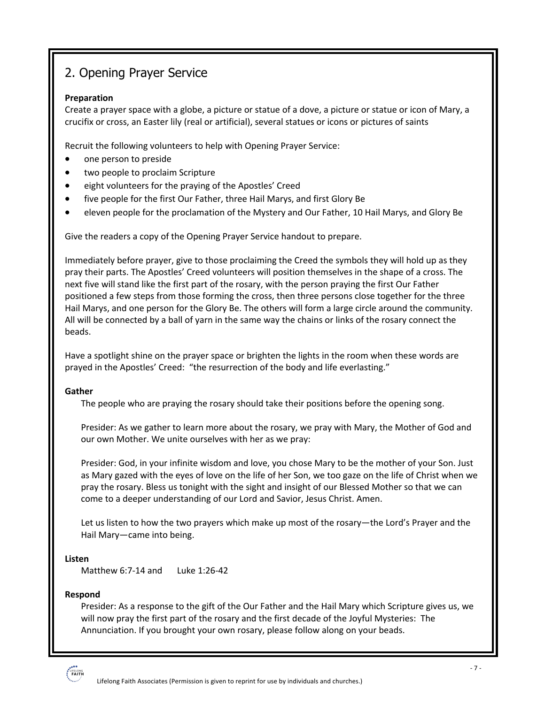### 2. Opening Prayer Service

#### **Preparation**

Create a prayer space with a globe, a picture or statue of a dove, a picture or statue or icon of Mary, a crucifix or cross, an Easter lily (real or artificial), several statues or icons or pictures of saints

Recruit the following volunteers to help with Opening Prayer Service:

- one person to preside
- two people to proclaim Scripture
- eight volunteers for the praying of the Apostles' Creed
- five people for the first Our Father, three Hail Marys, and first Glory Be
- eleven people for the proclamation of the Mystery and Our Father, 10 Hail Marys, and Glory Be

Give the readers a copy of the Opening Prayer Service handout to prepare.

Immediately before prayer, give to those proclaiming the Creed the symbols they will hold up as they pray their parts. The Apostles' Creed volunteers will position themselves in the shape of a cross. The next five will stand like the first part of the rosary, with the person praying the first Our Father positioned a few steps from those forming the cross, then three persons close together for the three Hail Marys, and one person for the Glory Be. The others will form a large circle around the community. All will be connected by a ball of yarn in the same way the chains or links of the rosary connect the beads.

Have a spotlight shine on the prayer space or brighten the lights in the room when these words are prayed in the Apostles' Creed: "the resurrection of the body and life everlasting."

#### **Gather**

The people who are praying the rosary should take their positions before the opening song.

Presider: As we gather to learn more about the rosary, we pray with Mary, the Mother of God and our own Mother. We unite ourselves with her as we pray:

Presider: God, in your infinite wisdom and love, you chose Mary to be the mother of your Son. Just as Mary gazed with the eyes of love on the life of her Son, we too gaze on the life of Christ when we pray the rosary. Bless us tonight with the sight and insight of our Blessed Mother so that we can come to a deeper understanding of our Lord and Savior, Jesus Christ. Amen.

Let us listen to how the two prayers which make up most of the rosary—the Lord's Prayer and the Hail Mary—came into being.

#### **Listen**

Matthew 6:7-14 and Luke 1:26-42

#### **Respond**

Presider: As a response to the gift of the Our Father and the Hail Mary which Scripture gives us, we will now pray the first part of the rosary and the first decade of the Joyful Mysteries: The Annunciation. If you brought your own rosary, please follow along on your beads.

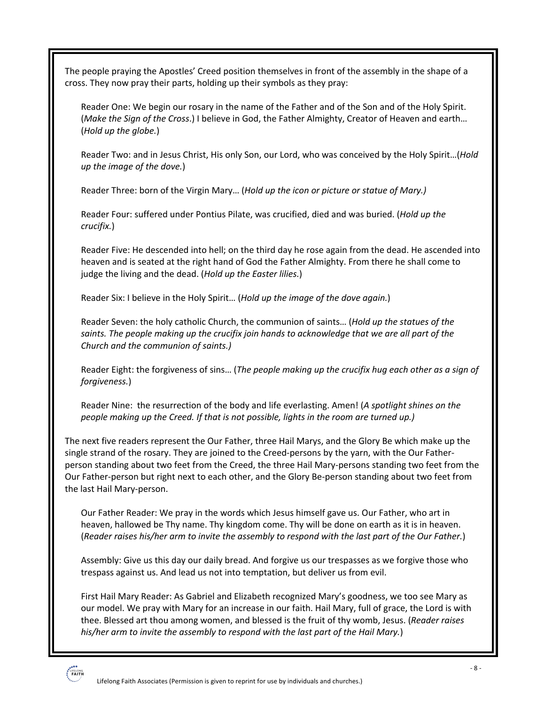The people praying the Apostles' Creed position themselves in front of the assembly in the shape of a cross. They now pray their parts, holding up their symbols as they pray:

Reader One: We begin our rosary in the name of the Father and of the Son and of the Holy Spirit. (*Make the Sign of the Cross*.) I believe in God, the Father Almighty, Creator of Heaven and earth… (*Hold up the globe.*)

Reader Two: and in Jesus Christ, His only Son, our Lord, who was conceived by the Holy Spirit…(*Hold up the image of the dove.*)

Reader Three: born of the Virgin Mary… (*Hold up the icon or picture or statue of Mary.)*

Reader Four: suffered under Pontius Pilate, was crucified, died and was buried. (*Hold up the crucifix.*)

Reader Five: He descended into hell; on the third day he rose again from the dead. He ascended into heaven and is seated at the right hand of God the Father Almighty. From there he shall come to judge the living and the dead. (*Hold up the Easter lilies.*)

Reader Six: I believe in the Holy Spirit… (*Hold up the image of the dove again.*)

Reader Seven: the holy catholic Church, the communion of saints… (*Hold up the statues of the saints. The people making up the crucifix join hands to acknowledge that we are all part of the Church and the communion of saints.)*

Reader Eight: the forgiveness of sins… (*The people making up the crucifix hug each other as a sign of forgiveness.*)

Reader Nine: the resurrection of the body and life everlasting. Amen! (*A spotlight shines on the people making up the Creed. If that is not possible, lights in the room are turned up.)*

The next five readers represent the Our Father, three Hail Marys, and the Glory Be which make up the single strand of the rosary. They are joined to the Creed-persons by the yarn, with the Our Fatherperson standing about two feet from the Creed, the three Hail Mary-persons standing two feet from the Our Father-person but right next to each other, and the Glory Be-person standing about two feet from the last Hail Mary-person.

Our Father Reader: We pray in the words which Jesus himself gave us. Our Father, who art in heaven, hallowed be Thy name. Thy kingdom come. Thy will be done on earth as it is in heaven. (*Reader raises his/her arm to invite the assembly to respond with the last part of the Our Father.*)

Assembly: Give us this day our daily bread. And forgive us our trespasses as we forgive those who trespass against us. And lead us not into temptation, but deliver us from evil.

First Hail Mary Reader: As Gabriel and Elizabeth recognized Mary's goodness, we too see Mary as our model. We pray with Mary for an increase in our faith. Hail Mary, full of grace, the Lord is with thee. Blessed art thou among women, and blessed is the fruit of thy womb, Jesus. (*Reader raises his/her arm to invite the assembly to respond with the last part of the Hail Mary.*)

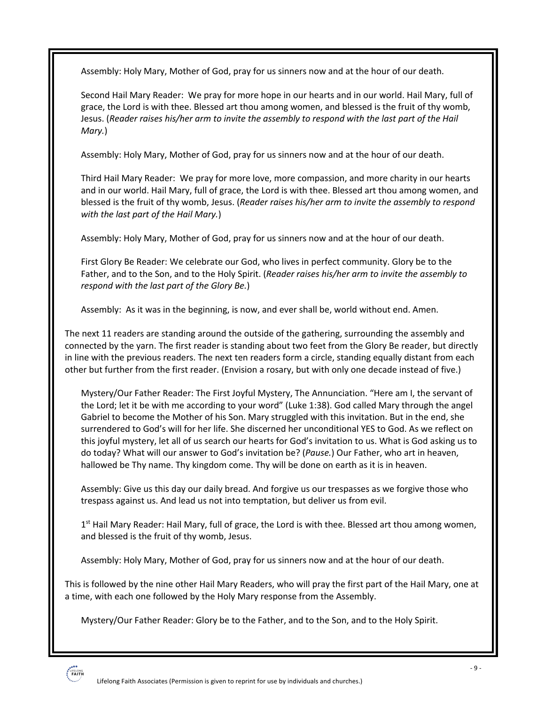Assembly: Holy Mary, Mother of God, pray for us sinners now and at the hour of our death.

Second Hail Mary Reader: We pray for more hope in our hearts and in our world. Hail Mary, full of grace, the Lord is with thee. Blessed art thou among women, and blessed is the fruit of thy womb, Jesus. (*Reader raises his/her arm to invite the assembly to respond with the last part of the Hail Mary.*)

Assembly: Holy Mary, Mother of God, pray for us sinners now and at the hour of our death.

Third Hail Mary Reader: We pray for more love, more compassion, and more charity in our hearts and in our world. Hail Mary, full of grace, the Lord is with thee. Blessed art thou among women, and blessed is the fruit of thy womb, Jesus. (*Reader raises his/her arm to invite the assembly to respond with the last part of the Hail Mary.*)

Assembly: Holy Mary, Mother of God, pray for us sinners now and at the hour of our death.

First Glory Be Reader: We celebrate our God, who lives in perfect community. Glory be to the Father, and to the Son, and to the Holy Spirit. (*Reader raises his/her arm to invite the assembly to respond with the last part of the Glory Be.*)

Assembly: As it was in the beginning, is now, and ever shall be, world without end. Amen.

The next 11 readers are standing around the outside of the gathering, surrounding the assembly and connected by the yarn. The first reader is standing about two feet from the Glory Be reader, but directly in line with the previous readers. The next ten readers form a circle, standing equally distant from each other but further from the first reader. (Envision a rosary, but with only one decade instead of five.)

Mystery/Our Father Reader: The First Joyful Mystery, The Annunciation. "Here am I, the servant of the Lord; let it be with me according to your word" (Luke 1:38). God called Mary through the angel Gabriel to become the Mother of his Son. Mary struggled with this invitation. But in the end, she surrendered to God's will for her life. She discerned her unconditional YES to God. As we reflect on this joyful mystery, let all of us search our hearts for God's invitation to us. What is God asking us to do today? What will our answer to God's invitation be? (*Pause.*) Our Father, who art in heaven, hallowed be Thy name. Thy kingdom come. Thy will be done on earth as it is in heaven.

Assembly: Give us this day our daily bread. And forgive us our trespasses as we forgive those who trespass against us. And lead us not into temptation, but deliver us from evil.

 $1<sup>st</sup>$  Hail Mary Reader: Hail Mary, full of grace, the Lord is with thee. Blessed art thou among women, and blessed is the fruit of thy womb, Jesus.

Assembly: Holy Mary, Mother of God, pray for us sinners now and at the hour of our death.

This is followed by the nine other Hail Mary Readers, who will pray the first part of the Hail Mary, one at a time, with each one followed by the Holy Mary response from the Assembly.

Mystery/Our Father Reader: Glory be to the Father, and to the Son, and to the Holy Spirit.

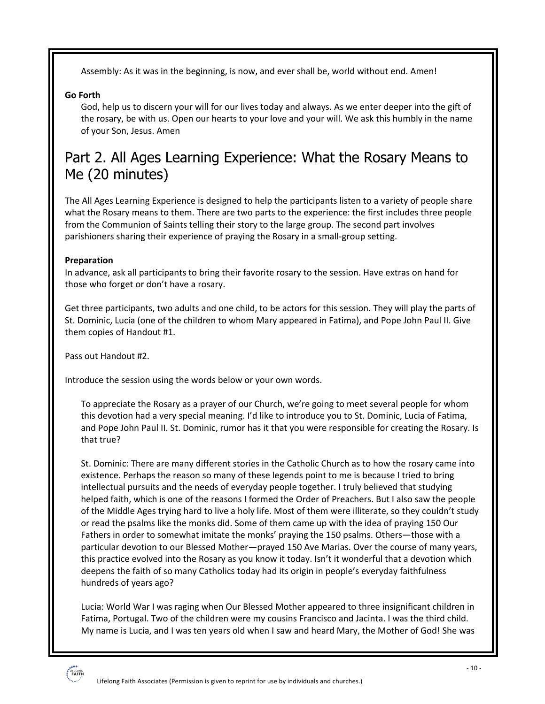Assembly: As it was in the beginning, is now, and ever shall be, world without end. Amen!

#### **Go Forth**

God, help us to discern your will for our lives today and always. As we enter deeper into the gift of the rosary, be with us. Open our hearts to your love and your will. We ask this humbly in the name of your Son, Jesus. Amen

### Part 2. All Ages Learning Experience: What the Rosary Means to Me (20 minutes)

The All Ages Learning Experience is designed to help the participants listen to a variety of people share what the Rosary means to them. There are two parts to the experience: the first includes three people from the Communion of Saints telling their story to the large group. The second part involves parishioners sharing their experience of praying the Rosary in a small-group setting.

#### **Preparation**

In advance, ask all participants to bring their favorite rosary to the session. Have extras on hand for those who forget or don't have a rosary.

Get three participants, two adults and one child, to be actors for this session. They will play the parts of St. Dominic, Lucia (one of the children to whom Mary appeared in Fatima), and Pope John Paul II. Give them copies of Handout #1.

Pass out Handout #2.

Introduce the session using the words below or your own words.

To appreciate the Rosary as a prayer of our Church, we're going to meet several people for whom this devotion had a very special meaning. I'd like to introduce you to St. Dominic, Lucia of Fatima, and Pope John Paul II. St. Dominic, rumor has it that you were responsible for creating the Rosary. Is that true?

St. Dominic: There are many different stories in the Catholic Church as to how the rosary came into existence. Perhaps the reason so many of these legends point to me is because I tried to bring intellectual pursuits and the needs of everyday people together. I truly believed that studying helped faith, which is one of the reasons I formed the Order of Preachers. But I also saw the people of the Middle Ages trying hard to live a holy life. Most of them were illiterate, so they couldn't study or read the psalms like the monks did. Some of them came up with the idea of praying 150 Our Fathers in order to somewhat imitate the monks' praying the 150 psalms. Others—those with a particular devotion to our Blessed Mother—prayed 150 Ave Marias. Over the course of many years, this practice evolved into the Rosary as you know it today. Isn't it wonderful that a devotion which deepens the faith of so many Catholics today had its origin in people's everyday faithfulness hundreds of years ago?

Lucia: World War I was raging when Our Blessed Mother appeared to three insignificant children in Fatima, Portugal. Two of the children were my cousins Francisco and Jacinta. I was the third child. My name is Lucia, and I was ten years old when I saw and heard Mary, the Mother of God! She was

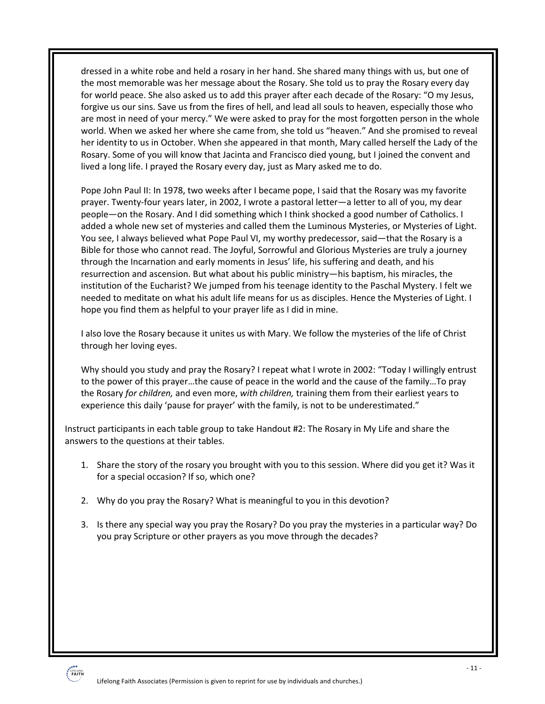dressed in a white robe and held a rosary in her hand. She shared many things with us, but one of the most memorable was her message about the Rosary. She told us to pray the Rosary every day for world peace. She also asked us to add this prayer after each decade of the Rosary: "O my Jesus, forgive us our sins. Save us from the fires of hell, and lead all souls to heaven, especially those who are most in need of your mercy." We were asked to pray for the most forgotten person in the whole world. When we asked her where she came from, she told us "heaven." And she promised to reveal her identity to us in October. When she appeared in that month, Mary called herself the Lady of the Rosary. Some of you will know that Jacinta and Francisco died young, but I joined the convent and lived a long life. I prayed the Rosary every day, just as Mary asked me to do.

Pope John Paul II: In 1978, two weeks after I became pope, I said that the Rosary was my favorite prayer. Twenty-four years later, in 2002, I wrote a pastoral letter—a letter to all of you, my dear people—on the Rosary. And I did something which I think shocked a good number of Catholics. I added a whole new set of mysteries and called them the Luminous Mysteries, or Mysteries of Light. You see, I always believed what Pope Paul VI, my worthy predecessor, said—that the Rosary is a Bible for those who cannot read. The Joyful, Sorrowful and Glorious Mysteries are truly a journey through the Incarnation and early moments in Jesus' life, his suffering and death, and his resurrection and ascension. But what about his public ministry—his baptism, his miracles, the institution of the Eucharist? We jumped from his teenage identity to the Paschal Mystery. I felt we needed to meditate on what his adult life means for us as disciples. Hence the Mysteries of Light. I hope you find them as helpful to your prayer life as I did in mine.

I also love the Rosary because it unites us with Mary. We follow the mysteries of the life of Christ through her loving eyes.

Why should you study and pray the Rosary? I repeat what I wrote in 2002: "Today I willingly entrust to the power of this prayer…the cause of peace in the world and the cause of the family…To pray the Rosary *for children,* and even more, *with children,* training them from their earliest years to experience this daily 'pause for prayer' with the family, is not to be underestimated."

Instruct participants in each table group to take Handout #2: The Rosary in My Life and share the answers to the questions at their tables.

- 1. Share the story of the rosary you brought with you to this session. Where did you get it? Was it for a special occasion? If so, which one?
- 2. Why do you pray the Rosary? What is meaningful to you in this devotion?
- 3. Is there any special way you pray the Rosary? Do you pray the mysteries in a particular way? Do you pray Scripture or other prayers as you move through the decades?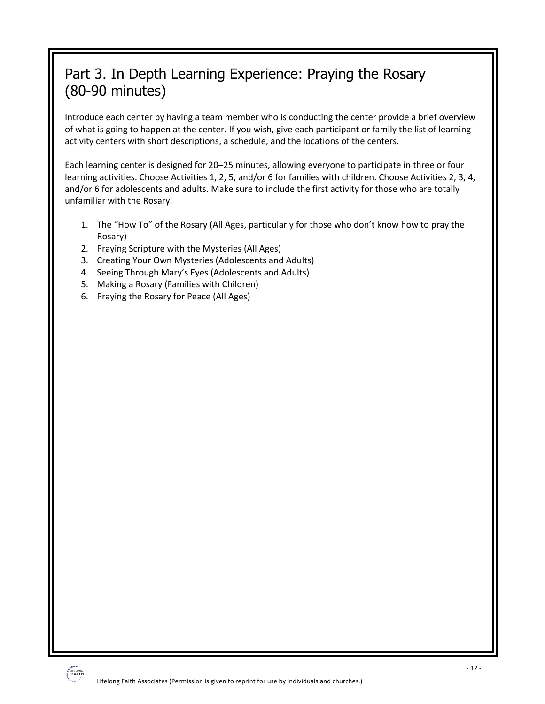# Part 3. In Depth Learning Experience: Praying the Rosary (80-90 minutes)

Introduce each center by having a team member who is conducting the center provide a brief overview of what is going to happen at the center. If you wish, give each participant or family the list of learning activity centers with short descriptions, a schedule, and the locations of the centers.

Each learning center is designed for 20–25 minutes, allowing everyone to participate in three or four learning activities. Choose Activities 1, 2, 5, and/or 6 for families with children. Choose Activities 2, 3, 4, and/or 6 for adolescents and adults. Make sure to include the first activity for those who are totally unfamiliar with the Rosary.

- 1. The "How To" of the Rosary (All Ages, particularly for those who don't know how to pray the Rosary)
- 2. Praying Scripture with the Mysteries (All Ages)
- 3. Creating Your Own Mysteries (Adolescents and Adults)
- 4. Seeing Through Mary's Eyes (Adolescents and Adults)
- 5. Making a Rosary (Families with Children)
- 6. Praying the Rosary for Peace (All Ages)

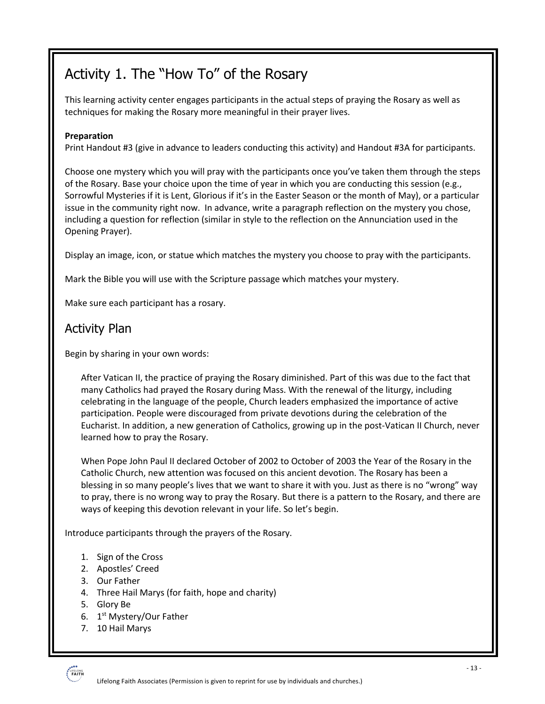# Activity 1. The "How To" of the Rosary

This learning activity center engages participants in the actual steps of praying the Rosary as well as techniques for making the Rosary more meaningful in their prayer lives.

#### **Preparation**

Print Handout #3 (give in advance to leaders conducting this activity) and Handout #3A for participants.

Choose one mystery which you will pray with the participants once you've taken them through the steps of the Rosary. Base your choice upon the time of year in which you are conducting this session (e.g., Sorrowful Mysteries if it is Lent, Glorious if it's in the Easter Season or the month of May), or a particular issue in the community right now. In advance, write a paragraph reflection on the mystery you chose, including a question for reflection (similar in style to the reflection on the Annunciation used in the Opening Prayer).

Display an image, icon, or statue which matches the mystery you choose to pray with the participants.

Mark the Bible you will use with the Scripture passage which matches your mystery.

Make sure each participant has a rosary.

### Activity Plan

Begin by sharing in your own words:

After Vatican II, the practice of praying the Rosary diminished. Part of this was due to the fact that many Catholics had prayed the Rosary during Mass. With the renewal of the liturgy, including celebrating in the language of the people, Church leaders emphasized the importance of active participation. People were discouraged from private devotions during the celebration of the Eucharist. In addition, a new generation of Catholics, growing up in the post-Vatican II Church, never learned how to pray the Rosary.

When Pope John Paul II declared October of 2002 to October of 2003 the Year of the Rosary in the Catholic Church, new attention was focused on this ancient devotion. The Rosary has been a blessing in so many people's lives that we want to share it with you. Just as there is no "wrong" way to pray, there is no wrong way to pray the Rosary. But there is a pattern to the Rosary, and there are ways of keeping this devotion relevant in your life. So let's begin.

Introduce participants through the prayers of the Rosary.

- 1. Sign of the Cross
- 2. Apostles' Creed
- 3. Our Father
- 4. Three Hail Marys (for faith, hope and charity)
- 5. Glory Be
- 6. 1<sup>st</sup> Mystery/Our Father
- 7. 10 Hail Marys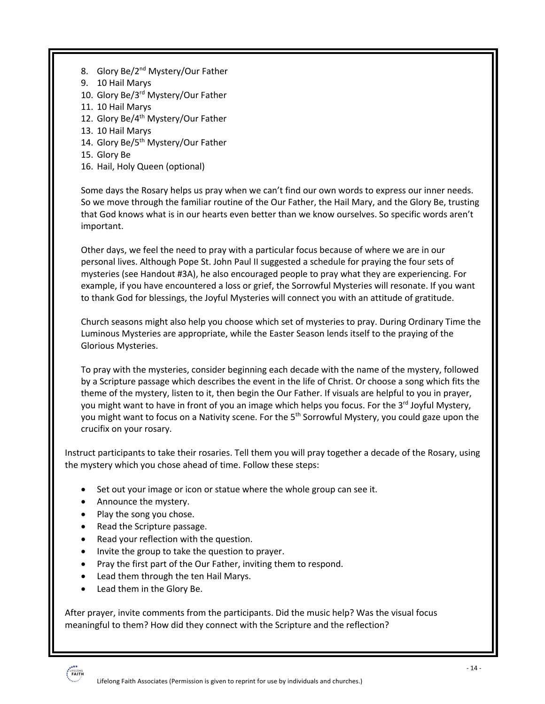- 8. Glory Be/2<sup>nd</sup> Mystery/Our Father
- 9. 10 Hail Marys
- 10. Glory Be/3rd Mystery/Our Father
- 11. 10 Hail Marys
- 12. Glory Be/4<sup>th</sup> Mystery/Our Father
- 13. 10 Hail Marys
- 14. Glory Be/5<sup>th</sup> Mystery/Our Father
- 15. Glory Be
- 16. Hail, Holy Queen (optional)

Some days the Rosary helps us pray when we can't find our own words to express our inner needs. So we move through the familiar routine of the Our Father, the Hail Mary, and the Glory Be, trusting that God knows what is in our hearts even better than we know ourselves. So specific words aren't important.

Other days, we feel the need to pray with a particular focus because of where we are in our personal lives. Although Pope St. John Paul II suggested a schedule for praying the four sets of mysteries (see Handout #3A), he also encouraged people to pray what they are experiencing. For example, if you have encountered a loss or grief, the Sorrowful Mysteries will resonate. If you want to thank God for blessings, the Joyful Mysteries will connect you with an attitude of gratitude.

Church seasons might also help you choose which set of mysteries to pray. During Ordinary Time the Luminous Mysteries are appropriate, while the Easter Season lends itself to the praying of the Glorious Mysteries.

To pray with the mysteries, consider beginning each decade with the name of the mystery, followed by a Scripture passage which describes the event in the life of Christ. Or choose a song which fits the theme of the mystery, listen to it, then begin the Our Father. If visuals are helpful to you in prayer, you might want to have in front of you an image which helps you focus. For the 3<sup>rd</sup> Joyful Mystery, you might want to focus on a Nativity scene. For the 5<sup>th</sup> Sorrowful Mystery, you could gaze upon the crucifix on your rosary.

Instruct participants to take their rosaries. Tell them you will pray together a decade of the Rosary, using the mystery which you chose ahead of time. Follow these steps:

- Set out your image or icon or statue where the whole group can see it.
- Announce the mystery.
- Play the song you chose.
- Read the Scripture passage.
- Read your reflection with the question.
- Invite the group to take the question to prayer.
- Pray the first part of the Our Father, inviting them to respond.
- Lead them through the ten Hail Marys.
- Lead them in the Glory Be.

After prayer, invite comments from the participants. Did the music help? Was the visual focus meaningful to them? How did they connect with the Scripture and the reflection?

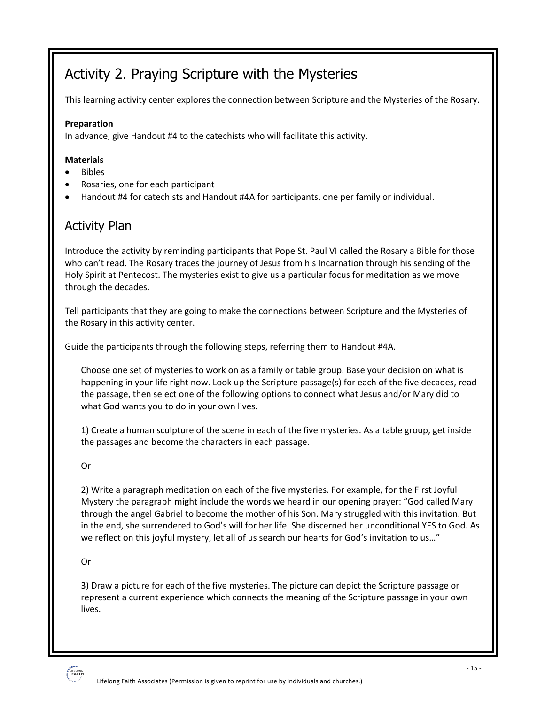# Activity 2. Praying Scripture with the Mysteries

This learning activity center explores the connection between Scripture and the Mysteries of the Rosary.

#### **Preparation**

In advance, give Handout #4 to the catechists who will facilitate this activity.

#### **Materials**

- Bibles
- Rosaries, one for each participant
- Handout #4 for catechists and Handout #4A for participants, one per family or individual.

### Activity Plan

Introduce the activity by reminding participants that Pope St. Paul VI called the Rosary a Bible for those who can't read. The Rosary traces the journey of Jesus from his Incarnation through his sending of the Holy Spirit at Pentecost. The mysteries exist to give us a particular focus for meditation as we move through the decades.

Tell participants that they are going to make the connections between Scripture and the Mysteries of the Rosary in this activity center.

Guide the participants through the following steps, referring them to Handout #4A.

Choose one set of mysteries to work on as a family or table group. Base your decision on what is happening in your life right now. Look up the Scripture passage(s) for each of the five decades, read the passage, then select one of the following options to connect what Jesus and/or Mary did to what God wants you to do in your own lives.

1) Create a human sculpture of the scene in each of the five mysteries. As a table group, get inside the passages and become the characters in each passage.

Or

2) Write a paragraph meditation on each of the five mysteries. For example, for the First Joyful Mystery the paragraph might include the words we heard in our opening prayer: "God called Mary through the angel Gabriel to become the mother of his Son. Mary struggled with this invitation. But in the end, she surrendered to God's will for her life. She discerned her unconditional YES to God. As we reflect on this joyful mystery, let all of us search our hearts for God's invitation to us…"

Or

3) Draw a picture for each of the five mysteries. The picture can depict the Scripture passage or represent a current experience which connects the meaning of the Scripture passage in your own lives.

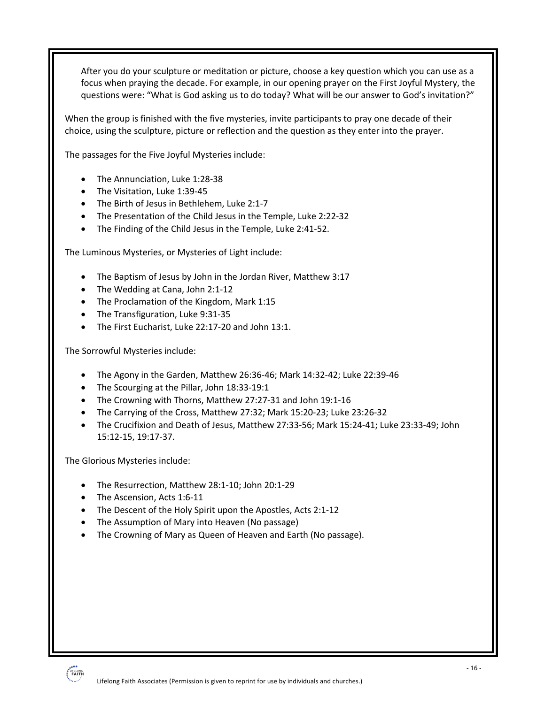After you do your sculpture or meditation or picture, choose a key question which you can use as a focus when praying the decade. For example, in our opening prayer on the First Joyful Mystery, the questions were: "What is God asking us to do today? What will be our answer to God's invitation?"

When the group is finished with the five mysteries, invite participants to pray one decade of their choice, using the sculpture, picture or reflection and the question as they enter into the prayer.

The passages for the Five Joyful Mysteries include:

- The Annunciation, Luke 1:28-38
- The Visitation, Luke 1:39-45
- The Birth of Jesus in Bethlehem, Luke 2:1-7
- The Presentation of the Child Jesus in the Temple, Luke 2:22-32
- The Finding of the Child Jesus in the Temple, Luke 2:41-52.

The Luminous Mysteries, or Mysteries of Light include:

- The Baptism of Jesus by John in the Jordan River, Matthew 3:17
- The Wedding at Cana, John 2:1-12
- The Proclamation of the Kingdom, Mark 1:15
- The Transfiguration, Luke 9:31-35
- The First Eucharist, Luke 22:17-20 and John 13:1.

The Sorrowful Mysteries include:

- The Agony in the Garden, Matthew 26:36-46; Mark 14:32-42; Luke 22:39-46
- The Scourging at the Pillar, John 18:33-19:1
- The Crowning with Thorns, Matthew 27:27-31 and John 19:1-16
- The Carrying of the Cross, Matthew 27:32; Mark 15:20-23; Luke 23:26-32
- The Crucifixion and Death of Jesus, Matthew 27:33-56; Mark 15:24-41; Luke 23:33-49; John 15:12-15, 19:17-37.

The Glorious Mysteries include:

- The Resurrection, Matthew 28:1-10; John 20:1-29
- The Ascension, Acts 1:6-11
- The Descent of the Holy Spirit upon the Apostles, Acts 2:1-12
- The Assumption of Mary into Heaven (No passage)
- The Crowning of Mary as Queen of Heaven and Earth (No passage).

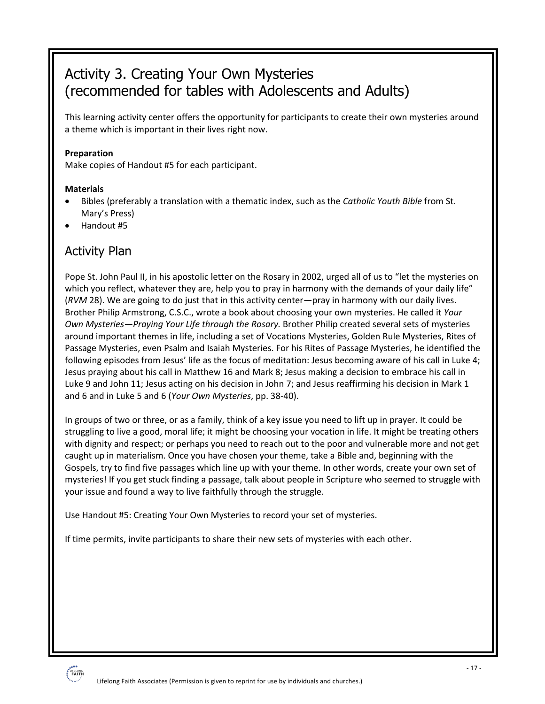# Activity 3. Creating Your Own Mysteries (recommended for tables with Adolescents and Adults)

This learning activity center offers the opportunity for participants to create their own mysteries around a theme which is important in their lives right now.

#### **Preparation**

Make copies of Handout #5 for each participant.

#### **Materials**

- Bibles (preferably a translation with a thematic index, such as the *Catholic Youth Bible* from St. Mary's Press)
- Handout #5

### Activity Plan

Pope St. John Paul II, in his apostolic letter on the Rosary in 2002, urged all of us to "let the mysteries on which you reflect, whatever they are, help you to pray in harmony with the demands of your daily life" (*RVM* 28). We are going to do just that in this activity center—pray in harmony with our daily lives. Brother Philip Armstrong, C.S.C., wrote a book about choosing your own mysteries. He called it *Your Own Mysteries—Praying Your Life through the Rosary.* Brother Philip created several sets of mysteries around important themes in life, including a set of Vocations Mysteries, Golden Rule Mysteries, Rites of Passage Mysteries, even Psalm and Isaiah Mysteries. For his Rites of Passage Mysteries, he identified the following episodes from Jesus' life as the focus of meditation: Jesus becoming aware of his call in Luke 4; Jesus praying about his call in Matthew 16 and Mark 8; Jesus making a decision to embrace his call in Luke 9 and John 11; Jesus acting on his decision in John 7; and Jesus reaffirming his decision in Mark 1 and 6 and in Luke 5 and 6 (*Your Own Mysteries*, pp. 38-40).

In groups of two or three, or as a family, think of a key issue you need to lift up in prayer. It could be struggling to live a good, moral life; it might be choosing your vocation in life. It might be treating others with dignity and respect; or perhaps you need to reach out to the poor and vulnerable more and not get caught up in materialism. Once you have chosen your theme, take a Bible and, beginning with the Gospels, try to find five passages which line up with your theme. In other words, create your own set of mysteries! If you get stuck finding a passage, talk about people in Scripture who seemed to struggle with your issue and found a way to live faithfully through the struggle.

Use Handout #5: Creating Your Own Mysteries to record your set of mysteries.

If time permits, invite participants to share their new sets of mysteries with each other.

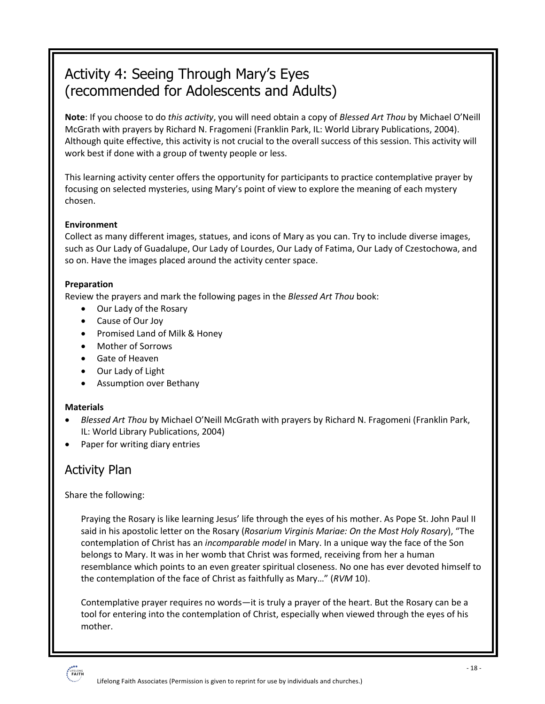# Activity 4: Seeing Through Mary's Eyes (recommended for Adolescents and Adults)

**Note**: If you choose to do *this activity*, you will need obtain a copy of *Blessed Art Thou* by Michael O'Neill McGrath with prayers by Richard N. Fragomeni (Franklin Park, IL: World Library Publications, 2004). Although quite effective, this activity is not crucial to the overall success of this session. This activity will work best if done with a group of twenty people or less.

This learning activity center offers the opportunity for participants to practice contemplative prayer by focusing on selected mysteries, using Mary's point of view to explore the meaning of each mystery chosen.

#### **Environment**

Collect as many different images, statues, and icons of Mary as you can. Try to include diverse images, such as Our Lady of Guadalupe, Our Lady of Lourdes, Our Lady of Fatima, Our Lady of Czestochowa, and so on. Have the images placed around the activity center space.

#### **Preparation**

Review the prayers and mark the following pages in the *Blessed Art Thou* book:

- Our Lady of the Rosary
- Cause of Our Joy
- Promised Land of Milk & Honey
- Mother of Sorrows
- Gate of Heaven
- Our Lady of Light
- Assumption over Bethany

#### **Materials**

- *Blessed Art Thou* by Michael O'Neill McGrath with prayers by Richard N. Fragomeni (Franklin Park, IL: World Library Publications, 2004)
- Paper for writing diary entries

### Activity Plan

#### Share the following:

Praying the Rosary is like learning Jesus' life through the eyes of his mother. As Pope St. John Paul II said in his apostolic letter on the Rosary (*Rosarium Virginis Mariae: On the Most Holy Rosary*), "The contemplation of Christ has an *incomparable model* in Mary. In a unique way the face of the Son belongs to Mary. It was in her womb that Christ was formed, receiving from her a human resemblance which points to an even greater spiritual closeness. No one has ever devoted himself to the contemplation of the face of Christ as faithfully as Mary…" (*RVM* 10).

Contemplative prayer requires no words—it is truly a prayer of the heart. But the Rosary can be a tool for entering into the contemplation of Christ, especially when viewed through the eyes of his mother.

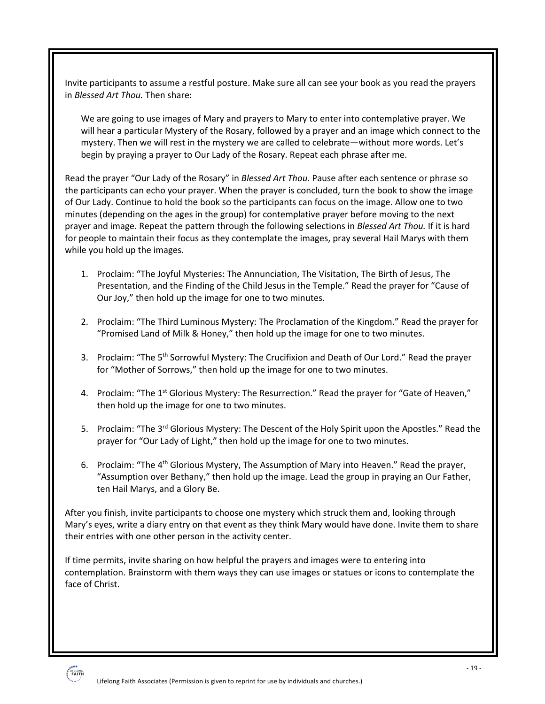Invite participants to assume a restful posture. Make sure all can see your book as you read the prayers in *Blessed Art Thou.* Then share:

We are going to use images of Mary and prayers to Mary to enter into contemplative prayer. We will hear a particular Mystery of the Rosary, followed by a prayer and an image which connect to the mystery. Then we will rest in the mystery we are called to celebrate—without more words. Let's begin by praying a prayer to Our Lady of the Rosary. Repeat each phrase after me.

Read the prayer "Our Lady of the Rosary" in *Blessed Art Thou.* Pause after each sentence or phrase so the participants can echo your prayer. When the prayer is concluded, turn the book to show the image of Our Lady. Continue to hold the book so the participants can focus on the image. Allow one to two minutes (depending on the ages in the group) for contemplative prayer before moving to the next prayer and image. Repeat the pattern through the following selections in *Blessed Art Thou.* If it is hard for people to maintain their focus as they contemplate the images, pray several Hail Marys with them while you hold up the images.

- 1. Proclaim: "The Joyful Mysteries: The Annunciation, The Visitation, The Birth of Jesus, The Presentation, and the Finding of the Child Jesus in the Temple." Read the prayer for "Cause of Our Joy," then hold up the image for one to two minutes.
- 2. Proclaim: "The Third Luminous Mystery: The Proclamation of the Kingdom." Read the prayer for "Promised Land of Milk & Honey," then hold up the image for one to two minutes.
- 3. Proclaim: "The 5<sup>th</sup> Sorrowful Mystery: The Crucifixion and Death of Our Lord." Read the prayer for "Mother of Sorrows," then hold up the image for one to two minutes.
- 4. Proclaim: "The 1<sup>st</sup> Glorious Mystery: The Resurrection." Read the prayer for "Gate of Heaven," then hold up the image for one to two minutes.
- 5. Proclaim: "The 3<sup>rd</sup> Glorious Mystery: The Descent of the Holy Spirit upon the Apostles." Read the prayer for "Our Lady of Light," then hold up the image for one to two minutes.
- 6. Proclaim: "The 4th Glorious Mystery, The Assumption of Mary into Heaven." Read the prayer, "Assumption over Bethany," then hold up the image. Lead the group in praying an Our Father, ten Hail Marys, and a Glory Be.

After you finish, invite participants to choose one mystery which struck them and, looking through Mary's eyes, write a diary entry on that event as they think Mary would have done. Invite them to share their entries with one other person in the activity center.

If time permits, invite sharing on how helpful the prayers and images were to entering into contemplation. Brainstorm with them ways they can use images or statues or icons to contemplate the face of Christ.

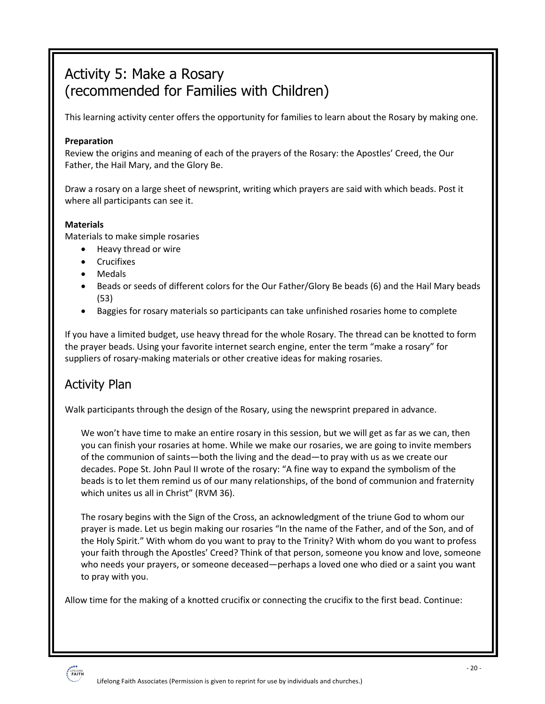# Activity 5: Make a Rosary (recommended for Families with Children)

This learning activity center offers the opportunity for families to learn about the Rosary by making one.

#### **Preparation**

Review the origins and meaning of each of the prayers of the Rosary: the Apostles' Creed, the Our Father, the Hail Mary, and the Glory Be.

Draw a rosary on a large sheet of newsprint, writing which prayers are said with which beads. Post it where all participants can see it.

#### **Materials**

Materials to make simple rosaries

- Heavy thread or wire
- Crucifixes
- Medals
- Beads or seeds of different colors for the Our Father/Glory Be beads (6) and the Hail Mary beads (53)
- Baggies for rosary materials so participants can take unfinished rosaries home to complete

If you have a limited budget, use heavy thread for the whole Rosary. The thread can be knotted to form the prayer beads. Using your favorite internet search engine, enter the term "make a rosary" for suppliers of rosary-making materials or other creative ideas for making rosaries.

### Activity Plan

Walk participants through the design of the Rosary, using the newsprint prepared in advance.

We won't have time to make an entire rosary in this session, but we will get as far as we can, then you can finish your rosaries at home. While we make our rosaries, we are going to invite members of the communion of saints—both the living and the dead—to pray with us as we create our decades. Pope St. John Paul II wrote of the rosary: "A fine way to expand the symbolism of the beads is to let them remind us of our many relationships, of the bond of communion and fraternity which unites us all in Christ" (RVM 36).

The rosary begins with the Sign of the Cross, an acknowledgment of the triune God to whom our prayer is made. Let us begin making our rosaries "In the name of the Father, and of the Son, and of the Holy Spirit." With whom do you want to pray to the Trinity? With whom do you want to profess your faith through the Apostles' Creed? Think of that person, someone you know and love, someone who needs your prayers, or someone deceased—perhaps a loved one who died or a saint you want to pray with you.

Allow time for the making of a knotted crucifix or connecting the crucifix to the first bead. Continue:

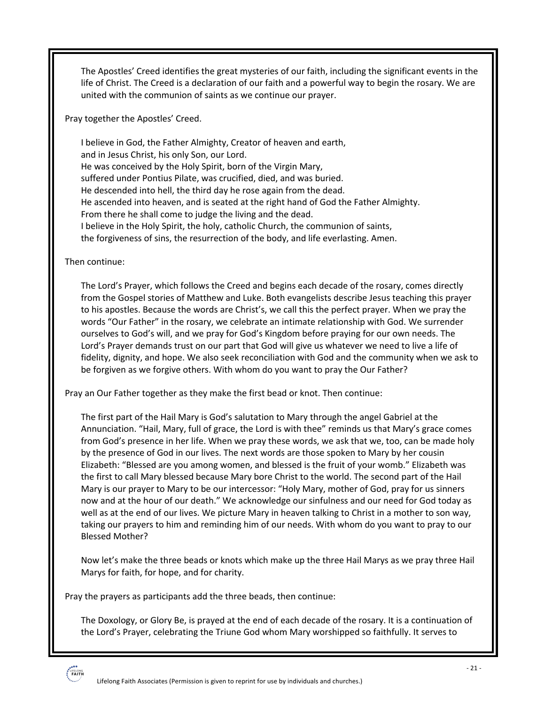The Apostles' Creed identifies the great mysteries of our faith, including the significant events in the life of Christ. The Creed is a declaration of our faith and a powerful way to begin the rosary. We are united with the communion of saints as we continue our prayer.

Pray together the Apostles' Creed.

I believe in God, the Father Almighty, Creator of heaven and earth, and in Jesus Christ, his only Son, our Lord. He was conceived by the Holy Spirit, born of the Virgin Mary, suffered under Pontius Pilate, was crucified, died, and was buried. He descended into hell, the third day he rose again from the dead. He ascended into heaven, and is seated at the right hand of God the Father Almighty. From there he shall come to judge the living and the dead. I believe in the Holy Spirit, the holy, catholic Church, the communion of saints, the forgiveness of sins, the resurrection of the body, and life everlasting. Amen.

Then continue:

The Lord's Prayer, which follows the Creed and begins each decade of the rosary, comes directly from the Gospel stories of Matthew and Luke. Both evangelists describe Jesus teaching this prayer to his apostles. Because the words are Christ's, we call this the perfect prayer. When we pray the words "Our Father" in the rosary, we celebrate an intimate relationship with God. We surrender ourselves to God's will, and we pray for God's Kingdom before praying for our own needs. The Lord's Prayer demands trust on our part that God will give us whatever we need to live a life of fidelity, dignity, and hope. We also seek reconciliation with God and the community when we ask to be forgiven as we forgive others. With whom do you want to pray the Our Father?

Pray an Our Father together as they make the first bead or knot. Then continue:

The first part of the Hail Mary is God's salutation to Mary through the angel Gabriel at the Annunciation. "Hail, Mary, full of grace, the Lord is with thee" reminds us that Mary's grace comes from God's presence in her life. When we pray these words, we ask that we, too, can be made holy by the presence of God in our lives. The next words are those spoken to Mary by her cousin Elizabeth: "Blessed are you among women, and blessed is the fruit of your womb." Elizabeth was the first to call Mary blessed because Mary bore Christ to the world. The second part of the Hail Mary is our prayer to Mary to be our intercessor: "Holy Mary, mother of God, pray for us sinners now and at the hour of our death." We acknowledge our sinfulness and our need for God today as well as at the end of our lives. We picture Mary in heaven talking to Christ in a mother to son way, taking our prayers to him and reminding him of our needs. With whom do you want to pray to our Blessed Mother?

Now let's make the three beads or knots which make up the three Hail Marys as we pray three Hail Marys for faith, for hope, and for charity.

Pray the prayers as participants add the three beads, then continue:

The Doxology, or Glory Be, is prayed at the end of each decade of the rosary. It is a continuation of the Lord's Prayer, celebrating the Triune God whom Mary worshipped so faithfully. It serves to

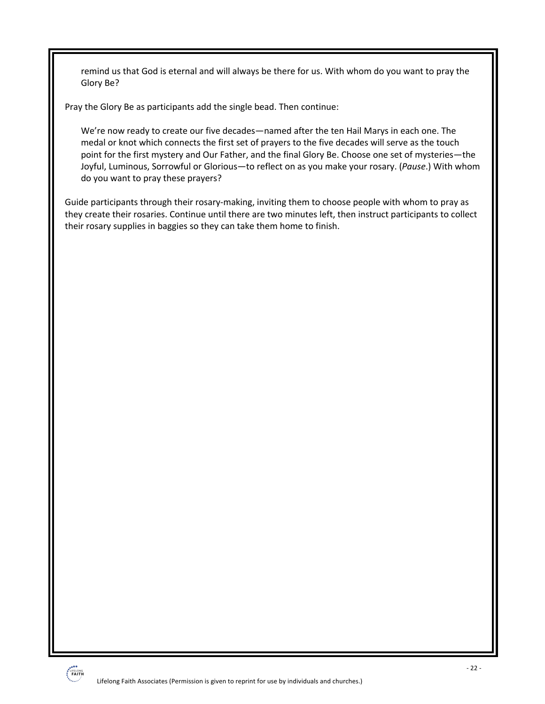remind us that God is eternal and will always be there for us. With whom do you want to pray the Glory Be?

Pray the Glory Be as participants add the single bead. Then continue:

We're now ready to create our five decades—named after the ten Hail Marys in each one. The medal or knot which connects the first set of prayers to the five decades will serve as the touch point for the first mystery and Our Father, and the final Glory Be. Choose one set of mysteries—the Joyful, Luminous, Sorrowful or Glorious—to reflect on as you make your rosary. (*Pause*.) With whom do you want to pray these prayers?

Guide participants through their rosary-making, inviting them to choose people with whom to pray as they create their rosaries. Continue until there are two minutes left, then instruct participants to collect their rosary supplies in baggies so they can take them home to finish.

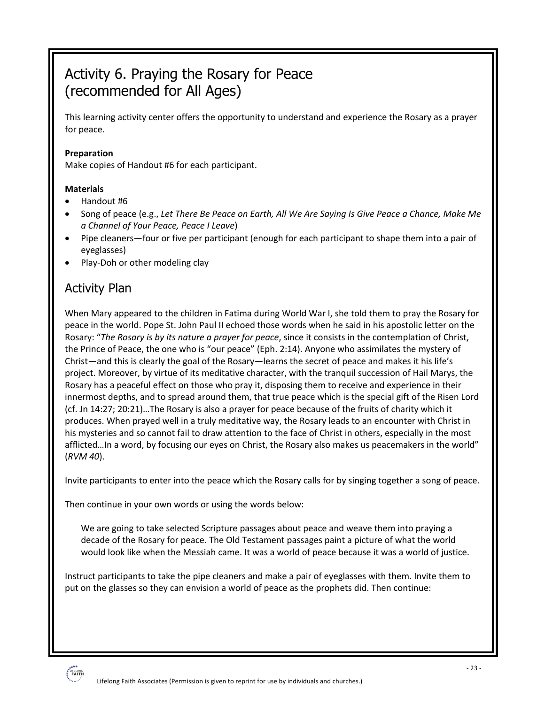# Activity 6. Praying the Rosary for Peace (recommended for All Ages)

This learning activity center offers the opportunity to understand and experience the Rosary as a prayer for peace.

#### **Preparation**

Make copies of Handout #6 for each participant.

#### **Materials**

- Handout #6
- Song of peace (e.g., *Let There Be Peace on Earth, All We Are Saying Is Give Peace a Chance, Make Me a Channel of Your Peace, Peace I Leave*)
- Pipe cleaners—four or five per participant (enough for each participant to shape them into a pair of eyeglasses)
- Play-Doh or other modeling clay

### Activity Plan

When Mary appeared to the children in Fatima during World War I, she told them to pray the Rosary for peace in the world. Pope St. John Paul II echoed those words when he said in his apostolic letter on the Rosary: "*The Rosary is by its nature a prayer for peace*, since it consists in the contemplation of Christ, the Prince of Peace, the one who is "our peace" (Eph. 2:14). Anyone who assimilates the mystery of Christ—and this is clearly the goal of the Rosary—learns the secret of peace and makes it his life's project. Moreover, by virtue of its meditative character, with the tranquil succession of Hail Marys, the Rosary has a peaceful effect on those who pray it, disposing them to receive and experience in their innermost depths, and to spread around them, that true peace which is the special gift of the Risen Lord (cf. Jn 14:27; 20:21)…The Rosary is also a prayer for peace because of the fruits of charity which it produces. When prayed well in a truly meditative way, the Rosary leads to an encounter with Christ in his mysteries and so cannot fail to draw attention to the face of Christ in others, especially in the most afflicted…In a word, by focusing our eyes on Christ, the Rosary also makes us peacemakers in the world" (*RVM 40*).

Invite participants to enter into the peace which the Rosary calls for by singing together a song of peace.

Then continue in your own words or using the words below:

We are going to take selected Scripture passages about peace and weave them into praying a decade of the Rosary for peace. The Old Testament passages paint a picture of what the world would look like when the Messiah came. It was a world of peace because it was a world of justice.

Instruct participants to take the pipe cleaners and make a pair of eyeglasses with them. Invite them to put on the glasses so they can envision a world of peace as the prophets did. Then continue:

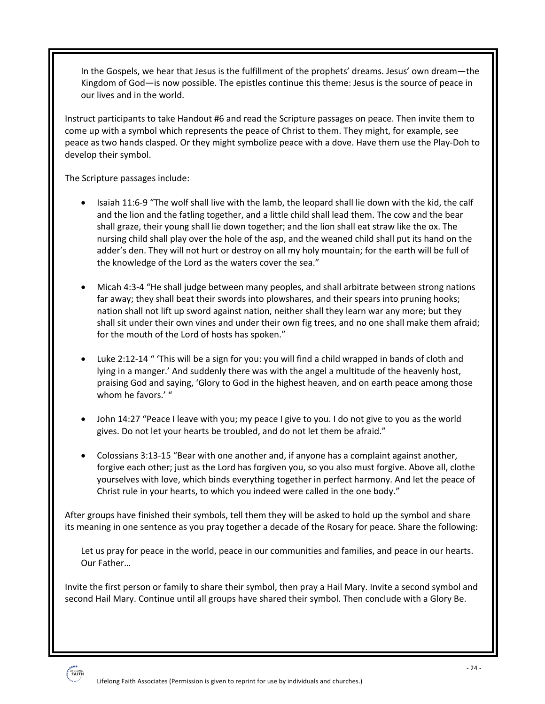In the Gospels, we hear that Jesus is the fulfillment of the prophets' dreams. Jesus' own dream—the Kingdom of God—is now possible. The epistles continue this theme: Jesus is the source of peace in our lives and in the world.

Instruct participants to take Handout #6 and read the Scripture passages on peace. Then invite them to come up with a symbol which represents the peace of Christ to them. They might, for example, see peace as two hands clasped. Or they might symbolize peace with a dove. Have them use the Play-Doh to develop their symbol.

The Scripture passages include:

- Isaiah 11:6-9 "The wolf shall live with the lamb, the leopard shall lie down with the kid, the calf and the lion and the fatling together, and a little child shall lead them. The cow and the bear shall graze, their young shall lie down together; and the lion shall eat straw like the ox. The nursing child shall play over the hole of the asp, and the weaned child shall put its hand on the adder's den. They will not hurt or destroy on all my holy mountain; for the earth will be full of the knowledge of the Lord as the waters cover the sea."
- Micah 4:3-4 "He shall judge between many peoples, and shall arbitrate between strong nations far away; they shall beat their swords into plowshares, and their spears into pruning hooks; nation shall not lift up sword against nation, neither shall they learn war any more; but they shall sit under their own vines and under their own fig trees, and no one shall make them afraid; for the mouth of the Lord of hosts has spoken."
- Luke 2:12-14 " 'This will be a sign for you: you will find a child wrapped in bands of cloth and lying in a manger.' And suddenly there was with the angel a multitude of the heavenly host, praising God and saying, 'Glory to God in the highest heaven, and on earth peace among those whom he favors.' "
- John 14:27 "Peace I leave with you; my peace I give to you. I do not give to you as the world gives. Do not let your hearts be troubled, and do not let them be afraid."
- Colossians 3:13-15 "Bear with one another and, if anyone has a complaint against another, forgive each other; just as the Lord has forgiven you, so you also must forgive. Above all, clothe yourselves with love, which binds everything together in perfect harmony. And let the peace of Christ rule in your hearts, to which you indeed were called in the one body."

After groups have finished their symbols, tell them they will be asked to hold up the symbol and share its meaning in one sentence as you pray together a decade of the Rosary for peace. Share the following:

Let us pray for peace in the world, peace in our communities and families, and peace in our hearts. Our Father…

Invite the first person or family to share their symbol, then pray a Hail Mary. Invite a second symbol and second Hail Mary. Continue until all groups have shared their symbol. Then conclude with a Glory Be.

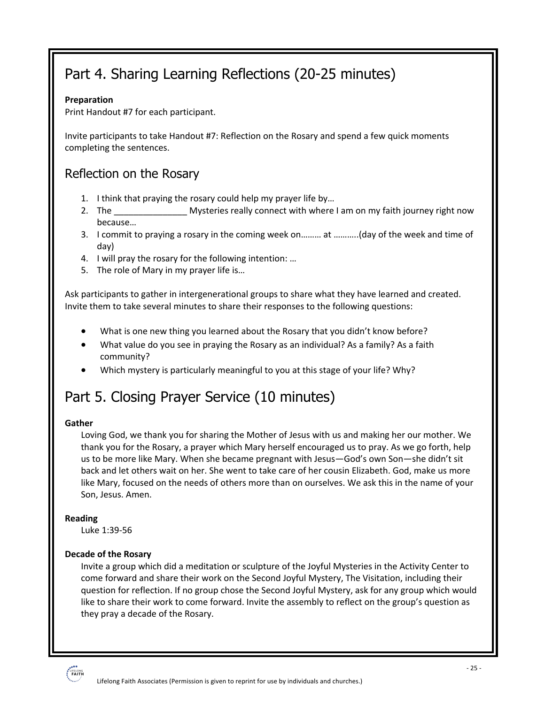# Part 4. Sharing Learning Reflections (20-25 minutes)

#### **Preparation**

Print Handout #7 for each participant.

Invite participants to take Handout #7: Reflection on the Rosary and spend a few quick moments completing the sentences.

### Reflection on the Rosary

- 1. I think that praying the rosary could help my prayer life by…
- 2. The **Example 2.** Mysteries really connect with where I am on my faith journey right now because…
- 3. I commit to praying a rosary in the coming week on……… at ………..(day of the week and time of day)
- 4. I will pray the rosary for the following intention: …
- 5. The role of Mary in my prayer life is…

Ask participants to gather in intergenerational groups to share what they have learned and created. Invite them to take several minutes to share their responses to the following questions:

- What is one new thing you learned about the Rosary that you didn't know before?
- What value do you see in praying the Rosary as an individual? As a family? As a faith community?
- Which mystery is particularly meaningful to you at this stage of your life? Why?

# Part 5. Closing Prayer Service (10 minutes)

#### **Gather**

Loving God, we thank you for sharing the Mother of Jesus with us and making her our mother. We thank you for the Rosary, a prayer which Mary herself encouraged us to pray. As we go forth, help us to be more like Mary. When she became pregnant with Jesus—God's own Son—she didn't sit back and let others wait on her. She went to take care of her cousin Elizabeth. God, make us more like Mary, focused on the needs of others more than on ourselves. We ask this in the name of your Son, Jesus. Amen.

#### **Reading**

Luke 1:39-56

#### **Decade of the Rosary**

Invite a group which did a meditation or sculpture of the Joyful Mysteries in the Activity Center to come forward and share their work on the Second Joyful Mystery, The Visitation, including their question for reflection. If no group chose the Second Joyful Mystery, ask for any group which would like to share their work to come forward. Invite the assembly to reflect on the group's question as they pray a decade of the Rosary.